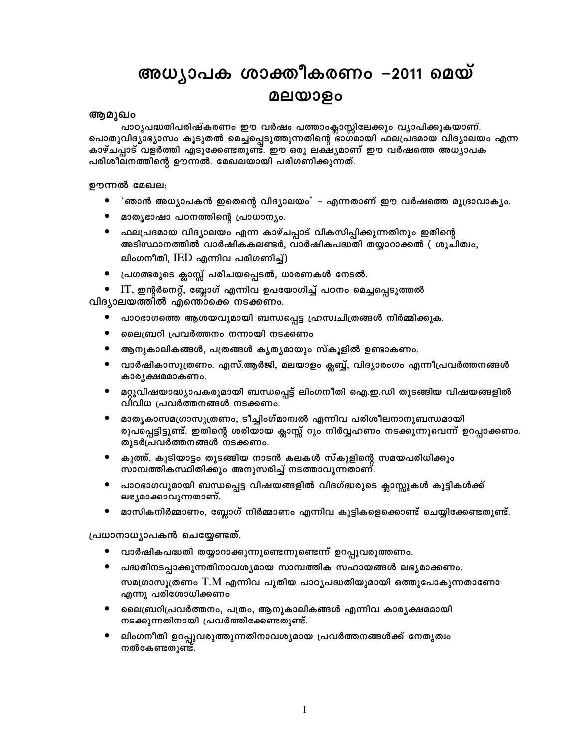# അധ്യാപക ശാക്തീകരണം –2011 മെയ് മലയാളം

## ആമുഖം

പാഠ്യപദ്ധതിപരിഷ്കരണം ഈ വർഷം പത്താംക്ലാസ്സിലേക്കും വ്യാപിക്കുകയാണ്. പൊതുവിദ്യാഭ്യാസം കൂടുതൽ മെച്ചപ്പെടുത്തുന്നതിന്റെ ഭാഗമായി ഫലപ്രദമായ വിദ്യാലയം എന്ന കാഴ്ചപ്പാട് വളർത്തി എടുക്കേണ്ടതുണ്ട്. ഈ ഒരു ലക്ഷ്യമാണ് ഈ വർഷത്തെ അധ്യാപക പരിശീലനത്തിന്റെ ഊന്നൽ. മേഖലയായി പരിഗണിക്കുന്നത്.

ഊന്നൽ മേഖല:

- 'ഞാൻ അധ്യാപകൻ ഇതെന്റെ വിദ്യാലയം' എന്നതാണ് ഈ വർഷത്തെ മുദ്രാവാക്യം.
- മാതൃഭാഷാ പഠനത്തിന്റെ പ്രാധാന്യം.
- ഫലപ്രദമായ വിദ്യാലയം എന്ന കാഴ്ചപ്പാട് വികസിപ്പിക്കുന്നതിനും ഇതിന്റെ അടിസ്ഥാനത്തിൽ വാർഷികകലണ്ടർ, വാർഷികപദ്ധതി തയ്യാറാക്കൽ ( ശുചിത്വം, ലിംഗനീതി,  $\mathrm{IED}$  എന്നിവ പരിഗണിച്ച്)
- പ്രഗത്ഭരുടെ ക്ലാസ്സ് പരിചയപ്പെടൽ, ധാരണകൾ നേടൽ.
- $IT$ , ഇന്റർനെറ്റ്, ബ്ലോഗ് എന്നിവ ഉപയോഗിച്ച് പഠനം മെച്ചപ്പെടുത്തൽ വിദ്യാലയത്തിൽ എന്തൊക്കെ നടക്കണം.
	- പാഠഭാഗത്തെ ആശയവുമായി ബന്ധപ്പെട്ട ഹ്രസ്വചിത്രങ്ങൾ നിർമ്മിക്കുക.
	- $\bullet$ ലൈബ്രറി പ്രവർത്തനം നന്നായി നടക്കണം
	- ആനുകാലികങ്ങൾ, പത്രങ്ങൾ കൃത്യമായും സ്കൂളിൽ ഉണ്ടാകണം.
	- വാർഷികാസൂത്രണം. എസ്.ആർജി, മലയാളം ക്ലബ്ബ്, വിദ്യാരംഗം എന്നീപ്രവർത്തനങ്ങൾ കാര്യക്ഷമമാകണം.
	- മറ്റുവിഷയാദ്ധ്യാപകരുമായി ബന്ധപ്പെട്ട് ലിംഗനീതി ഐ.ഇ.ഡി തുടങ്ങിയ വിഷയങ്ങളിൽ  $\bullet$ വീവിധ പ്രവർത്തനങ്ങൾ നടക്കണം.
	- മാതൃകാസമഗ്രാസൂത്രണം, ടീച്ചിംഗ്മാന്വൽ എന്നിവ പരിശീലനാനുബന്ധമായി രൂപപ്പെട്ടിട്ടുണ്ട്. ഇതിന്റെ ശരിയായ ക്ലാസ്സ് റൂം നിർവ്വഹണം നടക്കുന്നുവെന്ന് ഉറപ്പാക്കണം. തുടർപ്രവർത്തനങ്ങൾ നടക്കണം.
	- കൂത്ത്, കൂടിയാട്ടം തുടങ്ങിയ നാടൻ കലകൾ സ്കൂളിന്റെ സമയപരിധിക്കും സാമ്പത്തികസ്ഥിതിക്കും അനുസരിച്ച് നടത്താവുന്നതാണ്.
	- പാഠഭാഗവുമായി ബന്ധപ്പെട്ട വിഷയങ്ങളിൽ വിദഗ്ദ്ധരുടെ ക്ലാസ്സുകൾ കുട്ടികൾക്ക് ലഭ്യമാക്കാവുന്നതാണ്.
	- മാസികനിർമ്മാണം, ബ്ലോഗ് നിർമ്മാണം എന്നിവ കുട്ടികളെക്കൊണ്ട് ചെയ്യിക്കേണ്ടതുണ്ട്.

പ്രധാനാധ്യാപകൻ ചെയ്യേണ്ടത്.

- വാർഷികപദ്ധതി തയ്യാറാക്കുന്നുണ്ടെന്നുണ്ടെന്ന് ഉറപ്പുവരുത്തണം.
- പദ്ധതിനടപ്പാക്കുന്നതിനാവശ്യമായ സാമ്പത്തിക സഹായങ്ങൾ ലഭ്യമാക്കണം. സമഗ്രാസൂത്രണം T.M എന്നിവ പുതിയ പാഠ്യപദ്ധതിയുമായി ഒത്തുപോകുന്നതാണോ എന്നു പരിശോധിക്കണം
- ലൈബ്രറിപ്രവർത്തനം, പത്രം, ആനുകാലികങ്ങൾ എന്നിവ കാര്യക്ഷമമായി നടക്കുന്നതിനായി പ്രവർത്തിക്കേണ്ടതുണ്ട്.
- ലിംഗനീതി ഉറപ്പുവരുത്തുന്നതിനാവശ്യമായ പ്രവർത്തനങ്ങൾക്ക് നേതൃത്വം നൽകേണ്ടതുണ്ട്.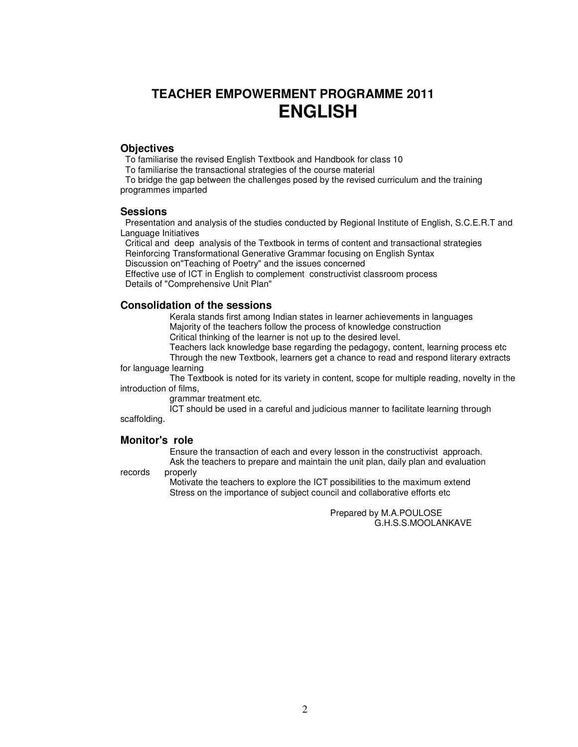# **TEACHER EMPOWERMENT PROGRAMME 2011 ENGLISH**

## **Objectives**

To familiarise the revised English Textbook and Handbook for class 10

To familiarise the transactional strategies of the course material

 To bridge the gap between the challenges posed by the revised curriculum and the training programmes imparted

### **Sessions**

 Presentation and analysis of the studies conducted by Regional Institute of English, S.C.E.R.T and Language Initiatives

 Critical and deep analysis of the Textbook in terms of content and transactional strategies Reinforcing Transformational Generative Grammar focusing on English Syntax

Discussion on"Teaching of Poetry" and the issues concerned

 Effective use of ICT in English to complement constructivist classroom process Details of "Comprehensive Unit Plan"

## **Consolidation of the sessions**

 Kerala stands first among Indian states in learner achievements in languages Majority of the teachers follow the process of knowledge construction Critical thinking of the learner is not up to the desired level.

Teachers lack knowledge base regarding the pedagogy, content, learning process etc

 Through the new Textbook, learners get a chance to read and respond literary extracts for language learning

 The Textbook is noted for its variety in content, scope for multiple reading, novelty in the introduction of films,

grammar treatment etc.

 ICT should be used in a careful and judicious manner to facilitate learning through scaffolding.

### **Monitor's role**

 Ensure the transaction of each and every lesson in the constructivist approach. Ask the teachers to prepare and maintain the unit plan, daily plan and evaluation

records properly

 Motivate the teachers to explore the ICT possibilities to the maximum extend Stress on the importance of subject council and collaborative efforts etc

> Prepared by M.A.POULOSE G.H.S.S.MOOLANKAVE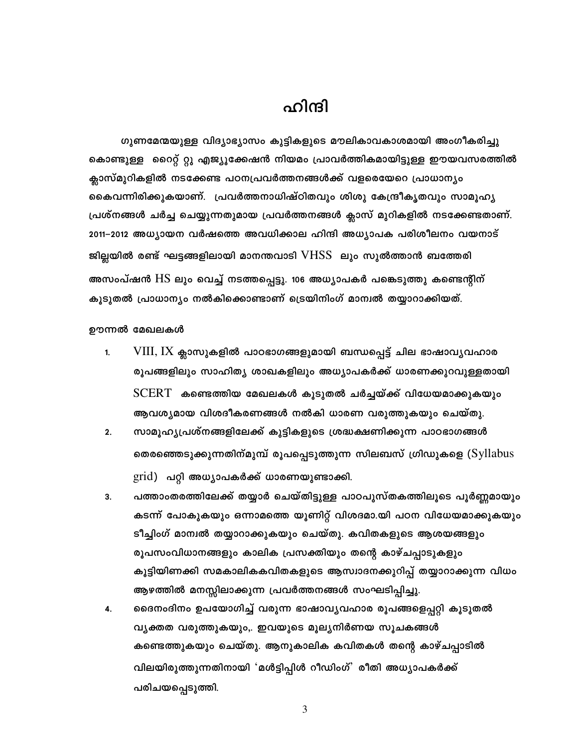# ഹിന്ദി

ഗുണമേന്മയുള്ള വിദ്യാഭ്യാസം കുട്ടികളുടെ മൗലികാവകാശമായി അംഗീകരിച്ചു കൊണ്ടുള്ള റൈറ്റ് റ്റു എജ്യൂക്കേഷൻ നിയമം പ്രാവർത്തികമായിട്ടുള്ള ഈയവസരത്തിൽ ക്ലാസ്മുറികളിൽ നടക്കേണ്ട പഠനപ്രവർത്തനങ്ങൾക്ക് വളരെയേറെ പ്രാധാന്യം കൈവന്നിരിക്കുകയാണ്. പ്രവർത്തനാധിഷ്ഠിതവും ശിശു കേന്ദ്രീകൃതവും സാമൂഹ്യ പ്രശ്നങ്ങൾ ചർച്ച ചെയ്യുന്നതുമായ പ്രവർത്തനങ്ങൾ ക്ലാസ് മുറികളിൽ നടക്കേണ്ടതാണ്. 2011-2012 അധ്യായന വർഷത്തെ അവധിക്കാല ഹിന്ദി അധ്യാപക പരിശീലനം വയനാട് ജില്ലയിൽ രണ്ട് ഘട്ടങ്ങളിലായി മാനന്തവാടി  $V\text{HSS}\,$ ലും സുൽത്താൻ ബത്തേരി അസംപ്ഷൻ HS ലും വെച്ച് നടത്തപ്പെട്ടു. 106 അധ്യാപകർ പങ്കെടുത്തു കണ്ടെന്റിന് കൂടുതൽ പ്രാധാന്യം നൽകിക്കൊണ്ടാണ് ട്രെയിനിംഗ് മാന്വൽ തയ്യാറാക്കിയത്.

ഊന്നൽ മേഖലകൾ

- $VIII$ ,  $IX$  ക്ലാസുകളിൽ പാഠഭാഗങ്ങളുമായി ബന്ധപ്പെട്ട് ചില ഭാഷാവൃവഹാര  $1.$ രൂപങ്ങളിലും സാഹിത്യ ശാഖകളിലും അധ്യാപകർക്ക് ധാരണക്കുറവുള്ളതായി  $\text{SCERT}$  കണ്ടെത്തിയ മേഖലകൾ കൂടുതൽ ചർച്ചയ്ക്ക് വിധേയമാക്കുകയും ആവശ്യമായ വിശദീകരണങ്ങൾ നൽകി ധാരണ വരുത്തുകയും ചെയ്തു.
- $2.$ സാമൂഹ്യപ്രശ്നങ്ങളിലേക്ക് കുട്ടികളുടെ ശ്രദ്ധക്ഷണിക്കുന്ന പാഠഭാഗങ്ങൾ തെരഞ്ഞെടുക്കുന്നതിന്മുമ്പ് രൂപപ്പെടുത്തുന്ന സിലബസ് ഗ്രിഡുകളെ ( $\mathop{\rm Syllabus}$  $grid)$  പറ്റി അധ്യാപകർക്ക് ധാരണയുണ്ടാക്കി.
- 3. പത്താംതരത്തിലേക്ക് തയ്യാർ ചെയ്തിട്ടുള്ള പാഠപുസ്തകത്തിലൂടെ പൂർണ്ണമായും കടന്ന് പോകുകയും ഒന്നാമത്തെ യൂണിറ്റ് വിശദമാ.യി പഠന വിധേയമാക്കുകയും ടീച്ചിംഗ് മാന്വൽ തയ്യാറാക്കുകയും ചെയ്തു. കവിതകളുടെ ആശയങ്ങളും രൂപസംവിധാനങ്ങളും കാലിക പ്രസക്തിയും തന്റെ കാഴ്ചപ്പാടുകളും കൂട്ടിയിണക്കി സമകാലികകവിതകളുടെ ആസ്വാദനക്കുറിപ്പ് തയ്യാറാക്കുന്ന വിധം ആഴത്തിൽ മനസ്സിലാക്കുന്ന പ്രവർത്തനങ്ങൾ സംഘടിപ്പിച്ചു.
- ദൈനംദിനം ഉപയോഗിച്ച് വരുന്ന ഭാഷാവ്യവഹാര രൂപങ്ങളെപ്പറ്റി കൂടുതൽ 4. വ്യക്തത വരുത്തുകയും,. ഇവയുടെ മൂല്യനിർണയ സൂചകങ്ങൾ കണ്ടെത്തുകയും ചെയ്തു. ആനുകാലിക കവിതകൾ തന്റെ കാഴ്ചപ്പാടിൽ വിലയിരുത്തുന്നതിനായി 'മൾട്ടിപ്പിൾ റീഡിംഗ്' രീതി അധ്യാപകർക്ക് പരിചയപ്പെടുത്തി.

 $\mathfrak{Z}$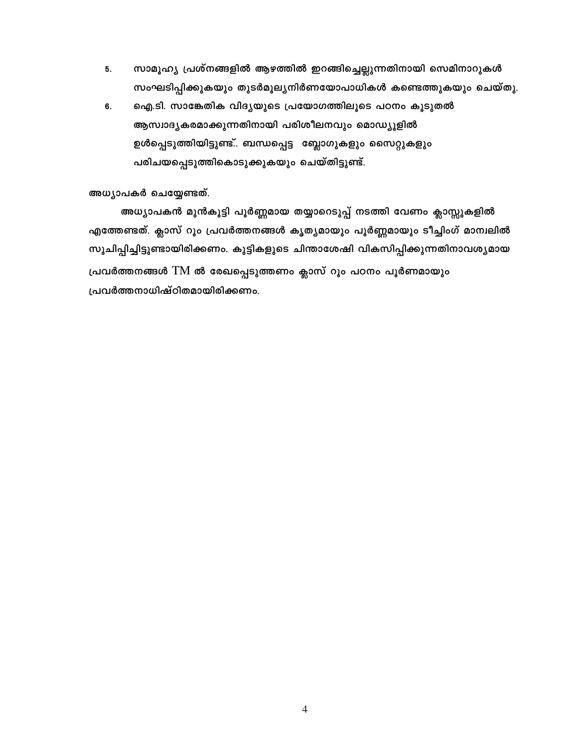- സാമൂഹ്യ പ്രശ്നങ്ങളിൽ ആഴത്തിൽ ഇറങ്ങിച്ചെല്ലുന്നതിനായി സെമിനാറുകൾ 5. സംഘടിപ്പിക്കുകയും തുടർമൂല്യനിർണയോപാധികൾ കണ്ടെത്തുകയും ചെയ്തു.
- ഐ.ടി. സാങ്കേതിക വിദൃയുടെ പ്രയോഗത്തിലൂടെ പഠനം കൂടുതൽ 6. ആസ്വാദ്യകരമാക്കുന്നതിനായി പരിശീലനവും മൊഡ്യൂളിൽ ഉൾപ്പെടുത്തിയിട്ടുണ്ട്.. ബന്ധപ്പെട്ട "ബ്ലോഗുകളും സൈറ്റുകളും പരിചയപ്പെടുത്തികൊടുക്കുകയും ചെയ്തിട്ടുണ്ട്.

## അധ്യാപകർ ചെയ്യേണ്ടത്.

അധ്യാപകൻ മുൻകൂട്ടി പൂർണ്ണമായ തയ്യാറെടുപ്പ് നടത്തി വേണം ക്ലാസ്സുകളിൽ എത്തേണ്ടത്. ക്ലാസ് റൂം പ്രവർത്തനങ്ങൾ കൃത്യമായും പൂർണ്ണമായും ടീച്ചിംഗ് മാന്വലിൽ സൂചിപ്പിച്ചിട്ടുണ്ടായിരിക്കണം. കുട്ടികളുടെ ചിന്താശേഷി വികസിപ്പിക്കുന്നതിനാവശ്യമായ പ്രവർത്തനങ്ങൾ TM ൽ രേഖപ്പെടുത്തണം ക്ലാസ് റൂം പഠനം പൂർണമായും പ്രവർത്തനാധിഷ്ഠിതമായിരിക്കണം.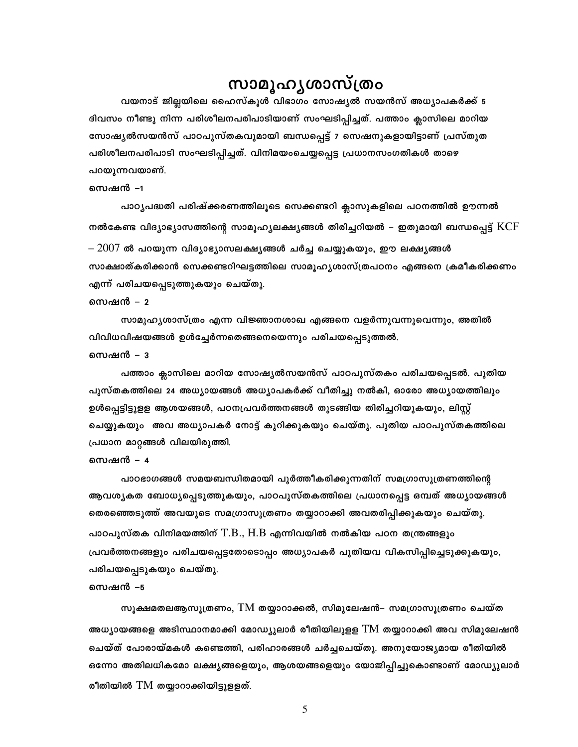# സാമൂഹൃശാസ്ത്രം

വയനാട് ജില്ലയിലെ ഹൈസ്കൂൾ വിഭാഗം സോഷ്യൽ സയൻസ് അധ്യാപകർക്ക് 5 ദിവസം നീണ്ടു നിന്ന പരിശീലനപരിപാടിയാണ് സംഘടിപ്പിച്ചത്. പത്താം ക്ലാസിലെ മാറിയ സോഷ്യൽസയൻസ് പാഠപുസ്തകവുമായി ബന്ധപ്പെട്ട് 7 സെഷനുകളായിട്ടാണ് പ്രസ്തുത പരിശീലനപരിപാടി സംഘടിപ്പിച്ചത്. വിനിമയംചെയ്യപ്പെട്ട പ്രധാനസംഗതികൾ താഴെ പറയുന്നവയാണ്.

#### സെഷൻ –1

പാഠൃപദ്ധതി പരിഷ്ക്കരണത്തിലൂടെ സെക്കണ്ടറി ക്ലാസുകളിലെ പഠനത്തിൽ ഊന്നൽ നൽകേണ്ട വിദ്യാഭ്യാസത്തിന്റെ സാമൂഹ്യലക്ഷ്യങ്ങൾ തിരിച്ചറിയൽ – ഇതുമായി ബന്ധപ്പെട്ട്  $\rm KCF$ 

 $- \, 2007$  ൽ പറയുന്ന വിദ്യാഭ്യാസലക്ഷ്യങ്ങൾ ചർച്ച ചെയ്യുകയും, ഈ ലക്ഷ്യങ്ങൾ സാക്ഷാത്കരിക്കാൻ സെക്കണ്ടറിഘട്ടത്തിലെ സാമുഹൃശാസ്ത്രപഠനം എങ്ങനെ ക്രമീകരിക്കണം എന്ന് പരിചയപ്പെടുത്തുകയും ചെയ്തു.

## സെഷൻ – 2

സാമൂഹ്യശാസ്ത്രം എന്ന വിജ്ഞാനശാഖ എങ്ങനെ വളർന്നുവന്നുവെന്നും, അതിൽ വിവിധവിഷയങ്ങൾ ഉൾച്ചേർന്നതെങ്ങനെയെന്നും പരിചയപ്പെടുത്തൽ.

## സെഷൻ – 3

പത്താം ക്ലാസിലെ മാറിയ സോഷ്യൽസയൻസ് പാഠപുസ്തകം പരിചയപ്പെടൽ. പുതിയ പുസ്തകത്തിലെ 24 അധ്യായങ്ങൾ അധ്യാപകർക്ക് വീതിച്ചു നൽകി, ഓരോ അധ്യായത്തിലും ഉൾപ്പെട്ടിട്ടുളള ആശയങ്ങൾ, പഠനപ്രവർത്തനങ്ങൾ തുടങ്ങിയ തിരിച്ചറിയുകയും, ലിസ്റ്റ് ചെയ്യുകയും അവ അധ്യാപകർ നോട്ട് കുറിക്കുകയും ചെയ്തു. പുതിയ പാഠപുസ്തകത്തിലെ പ്രധാന മാറ്റങ്ങൾ വിലയിരുത്തി.

#### സെഷൻ – 4

പാഠഭാഗങ്ങൾ സമയബന്ധിതമായി പൂർത്തീകരിക്കുന്നതിന് സമഗ്രാസൂത്രണത്തിന്റെ ആവശ്യകത ബോധ്യപ്പെടുത്തുകയും, പാഠപുസ്തകത്തിലെ പ്രധാനപ്പെട്ട ഒമ്പത് അധ്യായങ്ങൾ തെരഞ്ഞെടുത്ത് അവയുടെ സമഗ്രാസൂത്രണം തയ്യാറാക്കി അവതരിപ്പിക്കുകയും ചെയ്തു. പാഠപുസ്തക വിനിമയത്തിന്  $\rm{T.B.},\rm{H.B}$  എന്നിവയിൽ നൽകിയ പഠന തന്ത്രങ്ങളും പ്രവർത്തനങ്ങളും പരിചയപ്പെട്ടതോടൊപ്പം അധ്യാപകർ പുതിയവ വികസിപ്പിച്ചെടുക്കുകയും, പരിചയപ്പെടുകയും ചെയ്തു.

#### സെഷൻ –5

സുക്ഷമതലആസുത്രണം, TM തയ്യാറാക്കൽ, സിമുലേഷൻ– സമഗ്രാസുത്രണം ചെയ്ത അധ്യായങ്ങളെ അടിസ്ഥാനമാക്കി മോഡ്യുലാർ രീതിയിലുളള TM തയ്യാറാക്കി അവ സിമുലേഷൻ ചെയ്ത് പോരായ്മകൾ കണ്ടെത്തി, പരിഹാരങ്ങൾ ചർച്ചചെയ്തു. അനുയോജ്യമായ രീതിയിൽ ഒന്നോ അതിലധികമോ ലക്ഷ്യങ്ങളെയും, ആശയങ്ങളെയും യോജിപ്പിച്ചുകൊണ്ടാണ് മോഡ്യുലാർ രീതിയിൽ  $TM$  തയ്യാറാക്കിയിട്ടുളളത്.

5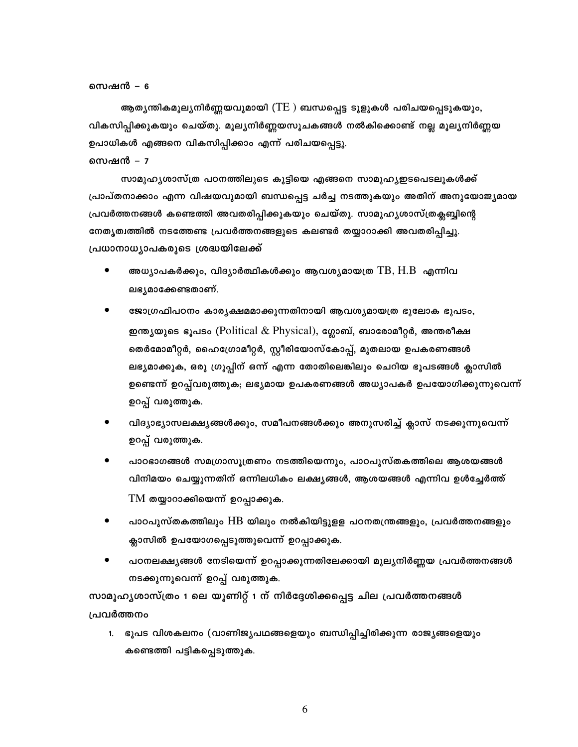#### സെഷൻ – 6

ആതൃന്തികമൂലൃനിർണ്ണയവുമായി ( $\mathrm{TE}$  ) ബന്ധപ്പെട്ട ടൂളുകൾ പരിചയപ്പെടുകയും, വികസിപ്പിക്കുകയും ചെയ്തു. മൂല്യനിർണ്ണയസൂചകങ്ങൾ നൽകിക്കൊണ്ട് നല്ല മൂല്യനിർണ്ണയ ഉപാധികൾ എങ്ങനെ വികസിപ്പിക്കാം എന്ന് പരിചയപ്പെട്ടു.

## സെഷൻ – 7

സാമൂഹ്യശാസ്ത്ര പഠനത്തിലൂടെ കുട്ടിയെ എങ്ങനെ സാമൂഹ്യഇടപെടലുകൾക്ക് പ്രാപ്തനാക്കാം എന്ന വിഷയവുമായി ബന്ധപ്പെട്ട ചർച്ച നടത്തുകയും അതിന് അനുയോജ്യമായ പ്രവർത്തനങ്ങൾ കണ്ടെത്തി അവതരിപ്പിക്കുകയും ചെയ്തു. സാമൂഹ്യശാസ്ത്രക്ലബ്ബിന്റെ നേതൃത്വത്തിൽ നടത്തേണ്ട പ്രവർത്തനങ്ങളുടെ കലണ്ടർ തയ്യാറാക്കി അവതരിപ്പിച്ചു. പ്രധാനാധ്യാപകരുടെ ശ്രദ്ധയിലേക്ക്

- അധ്യാപകർക്കും, വിദ്യാർത്ഥികൾക്കും ആവശ്യമായത്ര $\rm TB, H.B$  എന്നിവ ലഭ്യമാക്കേണ്ടതാണ്.
- ജോഗ്രഫിപഠനം കാര്യക്ഷമമാക്കുന്നതിനായി ആവശ്യമായത്ര ഭൂലോക ഭൂപടം, ഇന്ത്യയുടെ ഭൂപടം (Political  $\&$  Physical), ഗ്ലോബ്, ബാരോമീറ്റർ, അന്തരീക്ഷ തെർമോമീറ്റർ, ഹൈഗ്രോമീറ്റർ, സ്റ്റീരിയോസ്കോപ്പ്, മുതലായ ഉപകരണങ്ങൾ ലഭ്യമാക്കുക, ഒരു ഗ്രൂപ്പിന് ഒന്ന് എന്ന തോതിലെങ്കിലും ചെറിയ ഭൂപടങ്ങൾ ക്ലാസി<mark>ൽ</mark> ഉണ്ടെന്ന് ഉറപ്പ്വരുത്തുക; ലഭ്യമായ ഉപകരണങ്ങൾ അധ്യാപകർ ഉപയോഗിക്കുന്നുവെന്ന് ഉറപ്പ് വരുത്തുക.
- വിദ്യാഭ്യാസലക്ഷ്യങ്ങൾക്കും, സമീപനങ്ങൾക്കും അനുസരിച്ച് ക്ലാസ് നടക്കുന്നുവെന്ന് ഉറപ്പ് വരുത്തുക.
- പാഠഭാഗങ്ങൾ സമഗ്രാസൂത്രണം നടത്തിയെന്നും, പാഠപുസ്തകത്തിലെ ആശയങ്ങൾ വിനിമയം ചെയ്യുന്നതിന് ഒന്നിലധികം ലക്ഷ്യങ്ങൾ, ആശയങ്ങൾ എന്നിവ ഉൾച്ചേർത്ത്  $TM$  തയ്യാറാക്കിയെന്ന് ഉറപ്പാക്കുക.
- പാഠപുസ്തകത്തിലും  ${\rm HB}$  യിലും നൽകിയിട്ടുളള പഠനതന്ത്രങ്ങളും, പ്രവർത്തനങ്ങളും ക്ലാസിൽ ഉപയോഗപ്പെടുത്തുവെന്ന് ഉറപ്പാക്കുക.
- പഠനലക്ഷ്യങ്ങൾ നേടിയെന്ന് ഉറപ്പാക്കുന്നതിലേക്കായി മൂല്യനിർണ്ണയ പ്രവർത്തനങ്ങൾ നടക്കുന്നുവെന്ന് ഉറപ്പ് വരുത്തുക.

സാമൂഹ്യശാസ്ത്രം 1 ലെ യൂണിറ്റ് 1 ന് നിർദ്ദേശിക്കപ്പെട്ട ചില പ്രവർത്തനങ്ങൾ പ്രവർത്തനം

1. ഭൂപട വിശകലനം (വാണിജ്യപഥങ്ങളെയും ബന്ധിപ്പിച്ചിരിക്കുന്ന രാജ്യങ്ങളെയും കണ്ടെത്തി പട്ടികപ്പെടുത്തുക.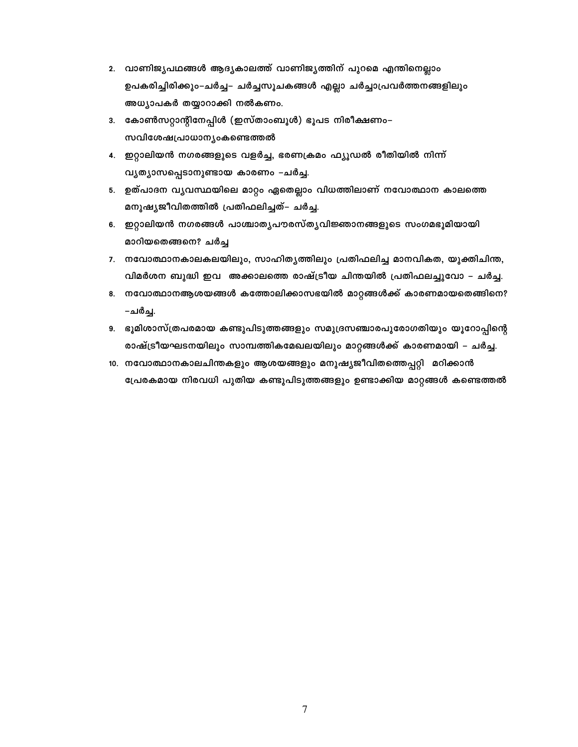- 2. വാണിജ്യപഥങ്ങൾ ആദ്യകാലത്ത് വാണിജ്യത്തിന് പുറമെ എന്തിനെല്ലാം ഉപകരിച്ചിരിക്കും-ചർച്ച- ചർച്ചസൂചകങ്ങൾ എല്ലാ ചർച്ചാപ്രവർത്തനങ്ങളിലും അധ്യാപകർ തയ്യാറാക്കി നൽകണം.
- 3. കോൺസറ്റാന്റിനേപ്പിൾ (ഇസ്താംബൂൾ) ഭൂപട നിരീക്ഷണം– സവിശേഷപ്രാധാന്യംകണ്ടെത്തൽ
- 4. ഇറ്റാലിയൻ നഗരങ്ങളുടെ വളർച്ച, ഭരണക്രമം ഫ്യൂഡൽ രീതിയിൽ നിന്ന് വൃത്യാസപ്പെടാനുണ്ടായ കാരണം –ചർച്ച.
- 5. ഉത്പാദന വൃവസ്ഥയിലെ മാറ്റം ഏതെല്ലാം വിധത്തിലാണ് നവോത്ഥാന കാലത്തെ മനുഷ്യജീവിതത്തിൽ പ്രതിഫലിച്ചത്– ചർച്ച.
- 6. ഇറ്റാലിയൻ നഗരങ്ങൾ പാശ്ചാതൃപൗരസ്തൃവിജ്ഞാനങ്ങളുടെ സംഗമഭൂമിയായി മാറിയതെങ്ങനെ? ചർച്ച
- 7. നവോത്ഥാനകാലകലയിലും, സാഹിതൃത്തിലും പ്രതിഫലിച്ച മാനവികത, യുക്തിചിന്ത, വിമർശന ബുദ്ധി ഇവ അക്കാലത്തെ രാഷ്ട്രീയ ചിന്തയിൽ പ്രതിഫലച്ചുവോ – ചർച്ച.
- 8. നവോത്ഥാനആശയങ്ങൾ കത്തോലിക്കാസഭയിൽ മാറ്റങ്ങൾക്ക് കാരണമായതെങ്ങിനെ? –ചർച്ച.
- 9. ഭൂമിശാസ്ത്രപരമായ കണ്ടുപിടുത്തങ്ങളും സമുദ്രസഞ്ചാരപുരോഗതിയും യൂറോപ്പിന്റെ രാഷ്ട്രീയഘടനയിലും സാമ്പത്തികമേഖലയിലും മാറ്റങ്ങൾക്ക് കാരണമായി – ചർച്ച.
- 10. നവോത്ഥാനകാലചിന്തകളും ആശയങ്ങളും മനുഷ്യജീവിതത്തെപ്പറ്റി മറിക്കാൻ പ്രേരകമായ നിരവധി പുതിയ കണ്ടുപിടുത്തങ്ങളും ഉണ്ടാക്കിയ മാറ്റങ്ങൾ കണ്ടെത്തൽ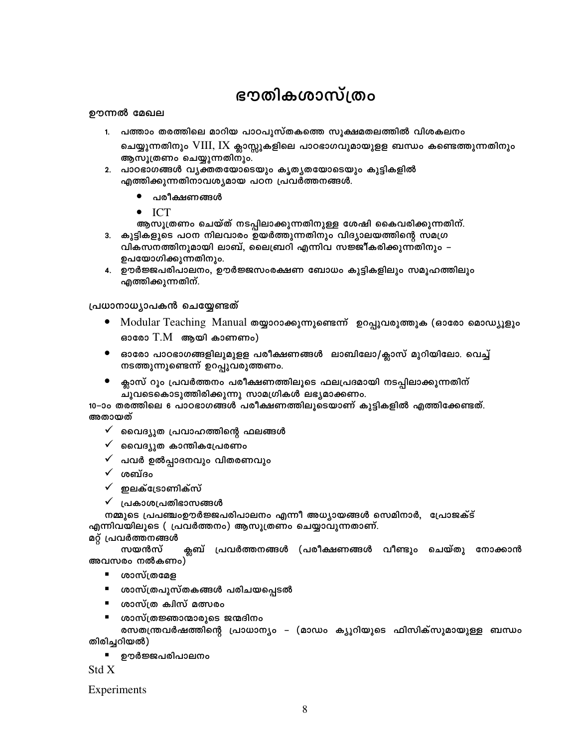# ഭൗതികശാസ്ത്രം

## ഊന്നൽ മേഖല

1. പത്താം തരത്തിലെ മാറിയ പാഠപുസ്തകത്തെ സൂക്ഷമതലത്തിൽ വിശകലനം

ചെയ്യുന്നതിനും VIII, IX ക്ലാസ്സുകളിലെ പാഠഭാഗവുമായുളള ബന്ധം കണ്ടെത്തുന്നതിനും ആസൂത്രണം ചെയ്യുന്നതിനും.

- 2. പാഠഭാഗങ്ങൾ വൃക്തതയോടെയും കൃതൃതയോടെയും കുട്ടികളിൽ എത്തിക്കുന്നതിനാവശ്യമായ പഠന പ്രവർത്തനങ്ങൾ.
	- പരീക്ഷണങ്ങൾ
	- $\bullet$  ICT
- ആസൂത്രണം ചെയ്ത് നടപ്പിലാക്കുന്നതിനുള്ള ശേഷി കൈവരിക്കുന്നതിന്. 3. കുട്ടികളുടെ പഠന നിലവാരം ഉയർത്തുന്നതിനും വിദ്യാലയത്തിന്റെ സമഗ്ര
- വികസനത്തിനുമായി ലാബ്, ലൈബ്രറി എന്നിവ സജ്ജീകരിക്കുന്നതിനും ഉപയോഗിക്കുന്നതിനും.
- 4. ഊർജ്ജപരിപാലനം, ഊർജ്ജസംരക്ഷണ ബോധം കുട്ടികളിലും സമൂഹത്തിലും എത്തിക്കുന്നതിന്.

## പ്രധാനാധ്യാപകൻ ചെയ്യേണ്ടത്

- Modular Teaching Manual തയ്യാറാക്കുന്നുണ്ടെന്ന് ഉറപ്പുവരുത്തുക (ഓരോ മൊഡ്യൂളും  $\bullet$ ഓരോ  $T.M$  ആയി കാണണം)
- $\bullet$ ഓരോ പാഠഭാഗങ്ങളിലുമുളള പരീക്ഷണങ്ങൾ ലാബിലോ/ക്ലാസ് മുറിയിലോ. വെച്ച് നടത്തുന്നുണ്ടെന്ന് ഉറപ്പുവരുത്തണം.
- ക്ലാസ് റൂം പ്രവർത്തനം പരീക്ഷണത്തിലൂടെ ഫലപ്രദമായി നടപ്പിലാക്കുന്നതിന് ചുവടെകൊടുത്തിരിക്കുന്നു സാമഗ്രികൾ ലഭ്യമാക്കണം.

10–ാം തരത്തിലെ 6 പാഠഭാഗങ്ങൾ പരീക്ഷണത്തിലൂടെയാണ് കൂട്ടികളിൽ എത്തിക്കേണ്ടത്. അതായത്

- $\checkmark$  മൈദ്യുത പ്രവാഹത്തിന്റെ ഫലങ്ങൾ
- $\checkmark$  മൈദ്യുത കാന്തികപ്രേരണം
- പവർ ഉൽപ്പാദനവും വിതരണവും
- $\checkmark$  ശബ്ദം
- $\checkmark$  ഇലക്ട്രോണിക്സ്
- $\checkmark$  പ്രകാശപ്രതിഭാസങ്ങൾ

നമ്മുടെ പ്രപഞ്ചംഉൗർജ്ജപരിപാലനം എന്നീ അധ്യായങ്ങൾ സെമിനാർ, പ്രോജക്ട് എന്നിവയിലൂടെ ( പ്രവർത്തനം) ആസൂത്രണം ചെയ്യാവുന്നതാണ്.

## മറ്റ് പ്രവർത്തനങ്ങൾ

ക്ലബ് പ്രവർത്തനങ്ങൾ (പരീക്ഷണങ്ങൾ വീണ്ടും ചെയ്തു നോക്കാൻ സയൻസ് അവസരം നൽകണം)

- $\mathbf{u}$  . ശാസ്ത്രമേള
- ശാസ്ത്രപുസ്തകങ്ങൾ പരിചയപ്പെടൽ
- ശാസ്ത്ര ക്വിസ് മത്സരം
- ശാസ്ത്രജ്ഞാന്മാരുടെ ജന്മദിനം

രസതന്ത്രവർഷത്തിന്റെ പ്രാധാന്യം – (മാഡം ക്യൂറിയുടെ ഫിസിക്സുമായുള്ള ബന്ധം തിരിച്ചറിയൽ)

ഊർജ്ജപരിപാലനം

Std X

Experiments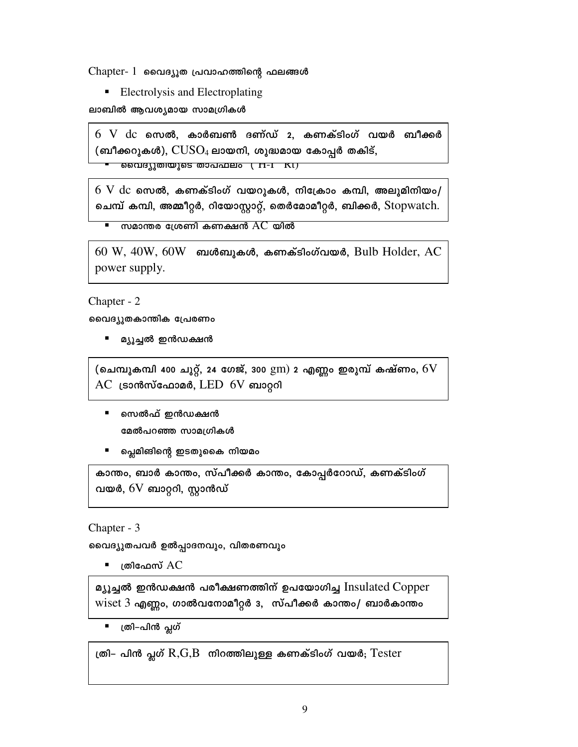$Chapter - 1$  വൈദ്യൂത പ്രവാഹത്തിന്റെ ഫലങ്ങൾ

• Electrolysis and Electroplating

ലാബിൽ ആവശ്യമായ സാമഗ്രികൾ

 $6\,$   $\rm V$   $\,$   $\rm dc$  സെൽ, കാർബൺ ദണ്ഡ് 2, കണക്ടിംഗ് വയർ ബീക്കർ (ബീക്കറുകൾ),  $\text{CUSO}_4$  ലായനി, ശുദ്ധമായ കോപ്പർ തകിട്,

<u>വൈദ്യുതിയുടെ താപഫലം ( H-I KI)</u>

 $6\,\mathrm{V}$   $\rm dc$  സെൽ, കണക്ടിംഗ് വയറുകൾ, നിക്രോം കമ്പി, അലുമിനിയം/ ചെമ്പ് കമ്പി, അമ്മീറ്റർ, റിയോസ്റ്റാറ്റ്, തെർമോമീറ്റർ, ബിക്കർ, Stopwatch.

സമാന്തര ശ്രേണി കണക്ഷൻ  $AC$ യിൽ τ

 $60 \, \text{W}$ ,  $40 \, \text{W}$ ,  $60 \, \text{W}$  ബൾബുകൾ, കണക്ടിംഗ്വയർ, Bulb Holder, AC power supply.

Chapter - 2

വൈദ്യുതകാന്തിക പ്രേരണം

■ മ്യൂച്ചൽ ഇൻഡക്ഷൻ

(ചെമ്പുകമ്പി 400 ചുറ്റ്, 24 ശേജ്, 300  $\rm gm)$  2 എണ്ണം ഇരുമ്പ് കഷ്ണം,  $6\rm V$  $AC$  ട്രാൻസ്ഫോമർ,  $LED$  6V ബാറ്ററി

- $\mathbf{R}$  . സെൽഫ് ഇൻഡക്ഷൻ മേൽപറഞ്ഞ സാമഗ്രികൾ
- പ്ലെമിങിന്റെ ഇടതുകൈ നിയമം

കാന്തം, ബാർ കാന്തം, സ്പീക്കർ കാന്തം, കോപ്പർറോഡ്, കണക്ടിംഗ് വയർ,  $6V$  ബാറ്ററി, സ്റ്റാൻഡ്

Chapter - 3

വൈദ്യുതപവർ ഉൽപ്പാദനവും, വിതരണവും

■ ത്രിഫേസ്  $AC$ 

മ്യൂച്ചൽ ഇൻഡക്ഷൻ പരീക്ഷണത്തിന് ഉപയോഗിച്ച Insulated Copper  $wiset 3$  എണ്ണം, ഗാൽവനോമീറ്റർ 3, സ്പീക്കർ കാന്തം/ ബാർകാന്തം

■ ത്രി–പിൻ പ്ലഗ്

ത്രി– പിൻ പ്സഗ്  $R,G,B$  നിറത്തിലുള്ള കണക്ടിംഗ് വയർ;  $T\text{ester}$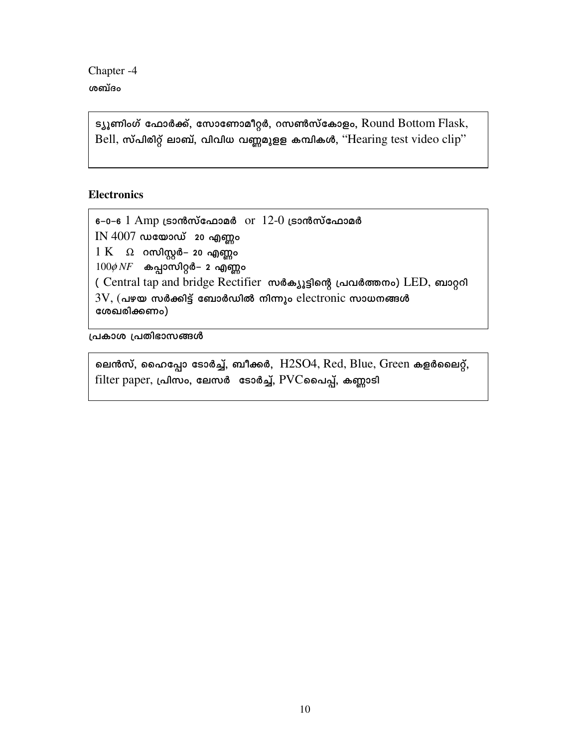Chapter<sub>-4</sub> ശബ്ദം

> ട്യൂണിംഗ് ഫോർക്ക്, സോണോമീറ്റർ, റസൺസ്കോളം, Round Bottom Flask, Bell, സ്പിരിറ്റ് ലാബ്, വിവിധ വണ്ണമുളള കമ്പികൾ, "Hearing test video clip"

## **Electronics**

 $-0-6$  1 Amp เรวณาตัดบัตณวอด or 12-0 เรวณาตัดบัตณวอด  $IN 4007$  ഡയോഡ് 20 എണ്ണം  $1 K$   $\Omega$  റസിസ്റ്റർ– 20 എണ്ണം  $100\phi N$  $F$  കപ്പാസിറ്റർ– 2 എണ്ണം ( Central tap and bridge Rectifier พงลองเริงต์ เอนอดตอง LED, ดาวอุดา  $3V$ , (പഴയ സർക്കിട്ട് ബോർഡിൽ നിന്നും electronic സാധനങ്ങൾ ശേഖരിക്കണം)

പ്രകാശ പ്രതിഭാസങ്ങൾ

ലെൻസ്, ഹൈപ്പോ ടോർച്ച്, ബീക്കർ,  $H2SO4$ , Red, Blue, Green കളർലൈറ്റ്, filter paper, പ്രിസം, ലേസർ ടോർച്ച്, PVCപ്പൈപ്പ്, കണ്ണാടി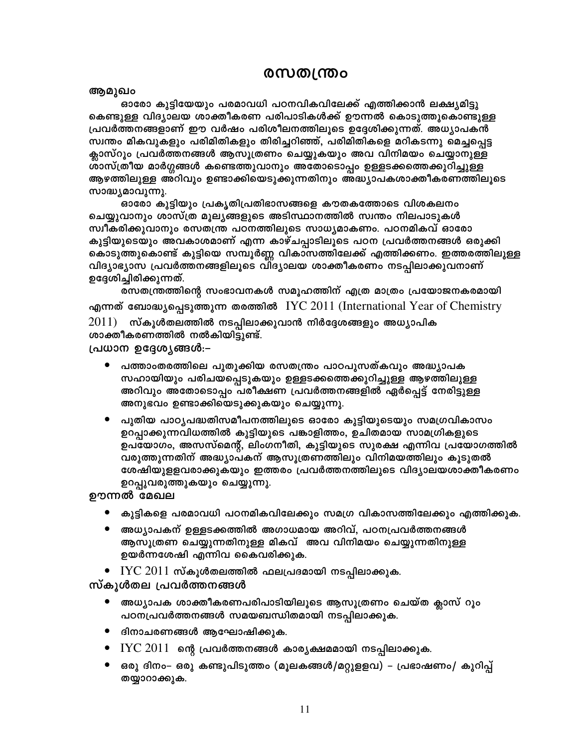## @സതന്ത്ര**ം**

ആമുഖം

ഓരോ കുട്ടിയേയും പരമാവധി പഠനവികവിലേക്ക് എത്തിക്കാൻ ലക്ഷ്യമിട്ടു കെണ്ടുള്ള വിദ്യാലയ ശാക്തീകരണ പരിപാടികൾക്ക് ഊന്നൽ കൊടുത്തുകൊണ്ടുള്ള പ്രവർത്തനങ്ങളാണ് ഈ വർഷം പരിശീലനത്തിലൂടെ ഉദ്ദേശിക്കുന്നത്. അധ്യാപകൻ സ്വന്തം മികവുകളും പരിമിതികളും തിരിച്ചറിഞ്ഞ്, പരിമിതികളെ മറികടന്നു മെച്ചപ്പെട്ട ക്ലാസ്റൂം പ്രവർത്തനങ്ങൾ ആസൂത്രണം ചെയ്യുകയും അവ വിനിമയം ചെയ്യാനുള്ള ശാസ്ത്രീയ മാർഗ്ഗങ്ങൾ കണ്ടെത്തുവാനും അതോടൊപ്പം ഉള്ളടക്കത്തെക്കുറിച്ചുള്ള ആഴത്തിലുള്ള അറിവും ഉണ്ടാക്കിയെടുക്കുന്നതിനും അദ്ധ്യാപകശാക്തീകരണത്തിലൂടെ സാദ്ധ്യമാവുന്നു.

ഓരോ കുട്ടിയും പ്രകൃതിപ്രതിഭാസങ്ങളെ കൗതകത്തോടെ വിശകലനം ചെയ്യുവാനും ശാസ്ത്ര മൂല്യങ്ങളുടെ അടിസ്ഥാനത്തിൽ സ്വന്തം നിലപാടുകൾ സ്വീകരിക്കുവാനും രസതന്ത്ര പഠനത്തിലുടെ സാധ്യമാകണം. പഠനമികവ് ഓരോ കുട്ടിയുടെയും അവകാശമാണ് എന്ന കാഴ്ചപ്പാടിലൂടെ പഠന പ്രവർത്തനങ്ങൾ ഒരുക്കി കൊടുത്തുകൊണ്ട് കുട്ടിയെ സമ്പൂർണ്ണ വികാസത്തിലേക്ക് എത്തിക്കണം. ഇത്തരത്തിലുള്ള വിദ്യാഭ്യാസ പ്രവർത്തനങ്ങളിലൂടെ വിദ്യാലയ ശാക്തീകരണം നടപ്പിലാക്കുവനാണ് ഉദ്ദേശിച്ചിരിക്കുന്നത്.

രസതന്ത്രത്തിന്റെ സംഭാവനകൾ സമൂഹത്തിന് എത്ര മാത്രം പ്രയോജനകരമായി എന്നത് ബോദ്ധ്യപ്പെടുത്തുന്ന തരത്തിൽ IYC 2011 (International Year of Chemistry  $2011)$  സ്കൂൾതലത്തിൽ നടപ്പിലാക്കുവാൻ നിർദ്ദേശങ്ങളും അധ്യാപിക

ശാക്തീകരണത്തിൽ നൽകിയിട്ടുണ്ട്.

പ്രധാന ഉദ്ദേശ്യങ്ങൾ:–

- പത്താംതരത്തിലെ പുതുക്കിയ രസതന്ത്രം പാഠപുസത്കവും അദ്ധ്യാപക സഹായിയും പരിചയപ്പെടുകയും ഉള്ളടക്കത്തെക്കുറിച്ചുള്ള ആഴത്തിലുള്ള അറിവും അതോടൊപ്പം പരീക്ഷണ പ്രവർത്തനങ്ങളിൽ ഏർപ്പെട്ട് നേരിട്ടുള്ള അനുഭവം ഉണ്ടാക്കിയെടുക്കുകയും ചെയ്യുന്നു.
- $\bullet$ പുതിയ പാഠ്യപദ്ധതിസമീപനത്തിലുടെ ഓരോ കുട്ടിയുടെയും സമഗ്രവികാസം ഉറപ്പാക്കുന്നവിധത്തിൽ കുട്ടിയുടെ പങ്കാളിത്തം, ഉചിതമായ സാമഗ്രികളുടെ ഉപയോഗം, അസസ്മെന്റ്, ലിംഗനീതി, കുട്ടിയുടെ സുരക്ഷ എന്നിവ പ്രയോഗത്തിൽ വരുത്തുന്നതിന് അദ്ധ്യാപകന് ആസൂത്രണത്തിലും വിനിമയത്തിലും കൂടുതൽ ശേഷിയുളളവരാക്കുകയും ഇത്തരം പ്രവർത്തനത്തിലുടെ വിദ്യാലയശാക്തീകരണം ഉറപ്പുവരുത്തുകയും ചെയ്യുന്നു.

ഊന്നൽ മേഖല

- കുട്ടികളെ പരമാവധി പഠനമികവിലേക്കും സമഗ്ര വികാസത്തിലേക്കും എത്തിക്കുക.
- അധ്യാപകന് ഉള്ളടക്കത്തിൽ അഗാധമായ അറിവ്, പഠനപ്രവർത്തനങ്ങൾ ആസൂത്രണ ചെയ്യുന്നതിനുള്ള മികവ് അവ വിനിമയം ചെയ്യുന്നതിനുള്ള ഉയർന്നശേഷി എന്നിവ കൈവരിക്കുക.
- $\bullet$  IYC  $2011$  സ്കൂൾതലത്തിൽ ഫലപ്രദമായി നടപ്പിലാക്കുക.

സ്കൂൾതല പ്രവർത്തനങ്ങൾ

- അധ്യാപക ശാക്തീകരണപരിപാടിയിലൂടെ ആസൂത്രണം ചെയ്ത ക്ലാസ് റൂം പഠനപ്രവർത്തനങ്ങൾ സമയബന്ധിതമായി നടപ്പിലാക്കുക.
- ദിനാചരണങ്ങൾ ആഘോഷിക്കുക.
- $\bullet$   $\,$   $\rm IYC~2011$  ന്റെ പ്രവർത്തനങ്ങൾ കാര്യക്ഷമമായി നടപ്പിലാക്കുക.
- ഒരു ദിനം– ഒരു കണ്ടുപിടുത്തം (മൂലകങ്ങൾ/മറ്റുളളവ) പ്രഭാഷണം/ കുറിപ്പ് തയ്യാറാക്കുക.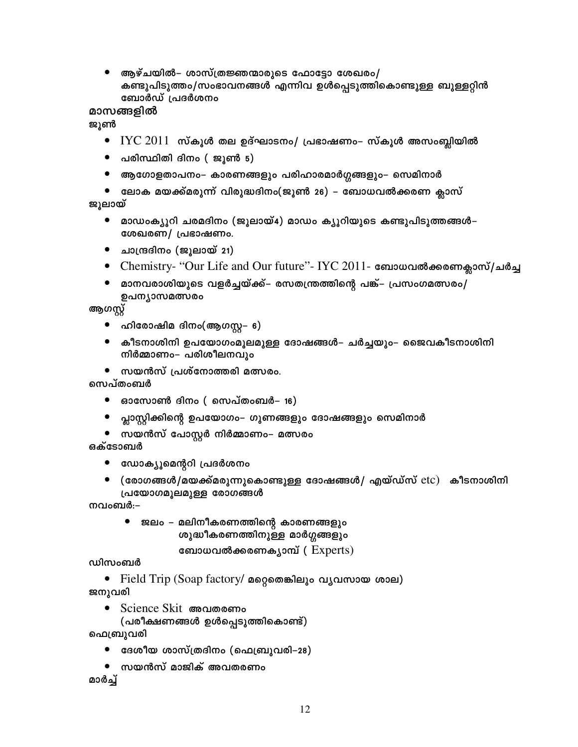● ആഴ്ചയിൽ– ശാസ്ത്രജ്ഞന്മാരുടെ ഫോട്ടോ ശേഖരം/ കണ്ടുപിടുത്തം/സംഭാവനങ്ങൾ എന്നിവ ഉൾപ്പെടുത്തികൊണ്ടുള്ള ബുള്ളറ്റിൻ ബോർഡ് പ്രദർശനം

മാസങ്ങളിൽ

ജൂൺ

- $\bullet$  IYC  $2011$  സ്കൂൾ തല ഉദ്ഘാടനം/ പ്രഭാഷണം– സ്കൂൾ അസംബ്ലിയിൽ
- പരിസ്ഥിതി ദിനം ( ജുൺ 5)  $\bullet$
- ആഗോളതാപനം– കാരണങ്ങളും പരിഹാരമാർഗ്ഗങ്ങളും– സെമിനാർ
- ലോക മയക്ക്മരുന്ന് വിരുദ്ധദിനം(ജൂൺ 26) ബോധവൽക്കരണ ക്ലാസ് ജൂലായ്
	- മാഡംക്യൂറി ചരമദിനം (ജൂലായ്4) മാഡം ക്യൂറിയുടെ കണ്ടുപിടുത്തങ്ങൾ– ശേഖരണ/ പ്രഭാഷണം.
	- ചാന്ദ്രദിനം (ജൂലായ് 21)
	- Chemistry- ''Our Life and Our future''- IYC 2011- ബോധവൽക്കരണക്ലാസ്/ചർച്ച
	- മാനവരാശിയുടെ വളർച്ചയ്ക്ക്– രസതന്ത്രത്തിന്റെ പങ്ക്– പ്രസംഗമത്സരം/ ഉപന്യാസമത്സരം

ആഗസ്റ്റ്

- ഹിരോഷിമ ദിനം(ആഗസ്റ്റ– 6)  $\bullet$
- കീടനാശിനി ഉപയോഗംമൂലമുള്ള ദോഷങ്ങൾ– ചർച്ചയും– ജൈവകീടനാശിനി നിർമ്മാണം– പരിശീലനവും
- $\bullet$  സയൻസ് പ്രശ്നോത്തരി മത്സരം.

സെപ്തംബർ

- ഓസോൺ ദിനം (സെപ്തംബർ– 16)
- ൂപ്ലാസ്റ്റിക്കിന്റെ ഉപയോഗം– ഗുണങ്ങളും ദോഷങ്ങളും സെമിനാർ

 $\bullet$  സയൻസ് പോസ്റ്റർ നിർമ്മാണം– മത്സരം

ഒക്ടോബർ

- ഡോക്യൂമെന്ററി പ്രദർശനം
- (രോഗങ്ങൾ/മയക്ക്മരുന്നുകൊണ്ടുള്ള ദോഷങ്ങൾ/ എയ്ഡ്സ്  $etc$ ) കീടനാശിനി പ്രയോഗമൂലമുള്ള രോഗങ്ങൾ

നവംബർ:–

● ജലം – മലിനീകരണത്തിന്റെ കാരണങ്ങളും ശുദ്ധീകരണത്തിനുള്ള മാർഗ്ഗങ്ങളും

```
ബോധവൽക്കരണക്യാമ്പ് (Experts)
```
## ഡിസംബർ

• Field Trip (Soap factory/ മറ്റെതെങ്കിലും വൃവസായ ശാല) ജനുവരി

- Science Skit അവതരണം
	- (പരീക്ഷണങ്ങൾ ഉൾപ്പെടുത്തികൊണ്ട്)

ഫെബ്രുവരി

- ദേശീയ ശാസ്ത്രദിനം (ഫെബ്രുവരി–28)
- സയൻസ് മാജിക് അവതരണം

മാർച്ച്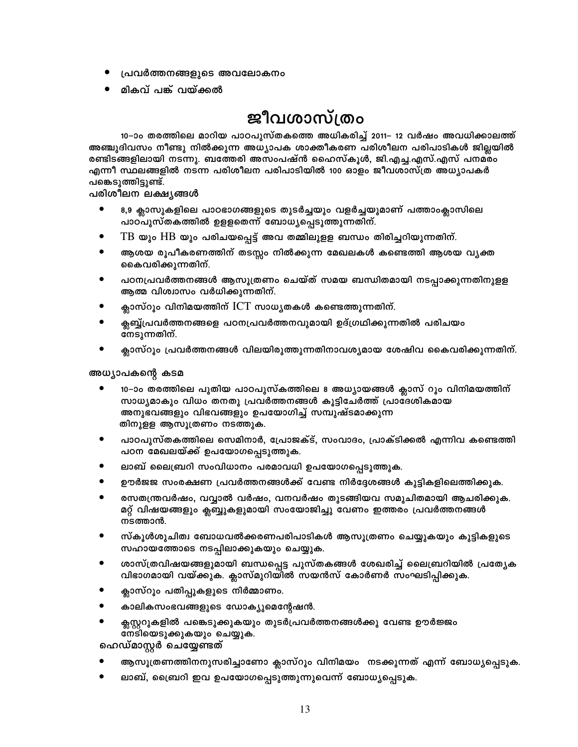- പ്രവർത്തനങ്ങളുടെ അവലോകനം
- മികവ് പങ്ക് വയ്ക്കൽ

# ജീവശാസ്ത്രം

10–ാം തരത്തിലെ മാറിയ പാഠപുസ്തകത്തെ അധികരിച്ച് 2011– 12 വർഷം അവധിക്കാലത്ത് അഞ്ചുദിവസം നീണ്ടു നിൽക്കുന്ന അധ്യാപക ശാക്തീകരണ പരിശീലന പരിപാടികൾ ജില്ലയിൽ രണ്ടിടങ്ങളിലായി നടന്നു. ബത്തേരി അസംപഷ്ൻ ഹൈസ്കൂൾ, ജി.എച്ച.എസ്.എസ് പനമരം എന്നീ സ്ഥലങ്ങളിൽ നടന്ന പരിശീലന പരിപാടിയിൽ 100 ഓളം ജീവശാസ്ത്ര അധ്യാപകർ പങ്കെടുത്തിട്ടുണ്ട്.

പരിശീലന ലക്ഷ്യങ്ങൾ

- 8,9 ക്ലാസുകളിലെ പാഠഭാഗങ്ങളുടെ തുടർച്ചയും വളർച്ചയുമാണ് പത്താംക്ലാസിലെ പാഠ്പുസ്തകത്തിൽ ഉളളതെന്ന് ബോധ്യപ്പെടുത്തുന്നതിന്.
- ${\rm TB}$  യും  ${\rm HB}$  യും പരിചയപ്പെട്ട് അവ തമ്മിലുളള ബന്ധം തിരിച്ചറിയുന്നതിന്.
- ആശയ രൂപീകരണത്തിന് തടസ്സം നിൽക്കുന്ന മേഖലകൾ കണ്ടെത്തി ആശയ വൃക്ത കൈവരിക്കുന്നതിന്.
- പഠനപ്രവർത്തനങ്ങൾ ആസൂത്രണം ചെയ്ത് സമയ ബന്ധിതമായി നടപ്പാക്കുന്നതിനുളള ആത്മ വിശ്വാസം വർധിക്കുന്നതിന്.
- ക്ലാസ്റും വിനിമയത്തിന് ICT സാധ്യതകൾ കണ്ടെത്തുന്നതിന്.
- ക്ലബ്ബ്പ്രവർത്തനങ്ങളെ പഠനപ്രവർത്തനവുമായി ഉദ്ഗ്രഥിക്കുന്നതിൽ പരിചയം നേടുന്നതിന്.
- $\bullet$ ക്ലാസ്റൂം പ്രവർത്തനങ്ങൾ വിലയിരുത്തുന്നതിനാവശ്യമായ ശേഷിവ കൈവരിക്കുന്നതിന്.

അധ്യാപകന്റെ കടമ

- 10–ാം തരത്തിലെ പുതിയ പാഠപുസ്കത്തിലെ 8 അധ്യായങ്ങൾ ക്ലാസ് റൂം വിനിമയത്തിന് സാധ്യമാകും വിധം തനതു പ്രവർത്തനങ്ങൾ കൂട്ടിചേർത്ത് പ്രാദേശികമായ അനുഭവങ്ങളും വിഭവങ്ങളും ഉപയോഗിച്ച് സമ്പുഷ്ടമാക്കുന്ന തിനുളള ആസൂത്രണം നടത്തുക.
- $\bullet$ പാഠപുസ്തകത്തിലെ സെമിനാർ, പ്രോജക്ട്, സംവാദം, പ്രാക്ടിക്കൽ എന്നിവ കണ്ടെത്തി പഠന മേഖലയ്ക്ക് ഉപയോഗപ്പെടുത്തുക.
- ലാബ് ലൈബ്രറി സംവിധാനം പരമാവധി ഉപയോഗപ്പെടുത്തുക.
- ഊർജജ സംരക്ഷണ പ്രവർത്തനങ്ങൾക്ക് വേണ്ട നിർദ്ദേശങ്ങൾ കുട്ടികളിലെത്തിക്കുക.
- രസതന്ത്രവർഷം, വവ്വാൽ വർഷം, വനവർഷം തുടങ്ങിയവ സമുചിതമായി ആചരിക്കുക. മറ്റ് വിഷയങ്ങളും ക്ലബ്ബുകളുമായി സംയോജിച്ചു വേണം ഇത്തരം പ്രവർത്തനങ്ങൾ നടത്താൻ.
- സ്കൂൾശുചിത്വ ബോധവൽക്കരണപരിപാടികൾ ആസൂത്രണം ചെയ്യുകയും കുട്ടികളുടെ സഹായത്തോടെ നടപ്പിലാക്കുകയും ചെയ്യുക.
- ശാസ്ത്രവിഷയങ്ങളുമായി ബന്ധപ്പെട്ട പുസ്തകങ്ങൾ ശേഖരിച്ച് ലൈബ്രറിയിൽ പ്രത്യേക വിഭാഗമായി വയ്ക്കുക. ക്ലാസ്മുറിയിൽ സയൻസ് കോർണർ സംഘടിപ്പിക്കുക.
- ക്ലാസ്റൂം പതിപ്പുകളുടെ നിർമ്മാണം.
- കാലികസംഭവങ്ങളുടെ ഡോക്യുമെന്റേഷൻ.
- ക്സസ്റ്ററുകളിൽ പങ്കെടുക്കുകയും തുടർപ്രവർത്തനങ്ങൾക്കു വേണ്ട ഊർജ്ജം നേടിയെടുക്കുകയും ചെയ്യുക.

ഹെഡ്മാസ്റ്റർ ചെയ്യേണ്ടത്

- ആസൂത്രണത്തിനനുസരിച്ചാണോ ക്ലാസ്റൂം വിനിമയം നടക്കുന്നത് എന്ന് ബോധ്യപ്പെടുക.
- ലാബ്, ഡ്രൈറി ഇവ ഉപയോഗപ്പെടുത്തുന്നുവെന്ന് ബോധ്യപ്പെടുക.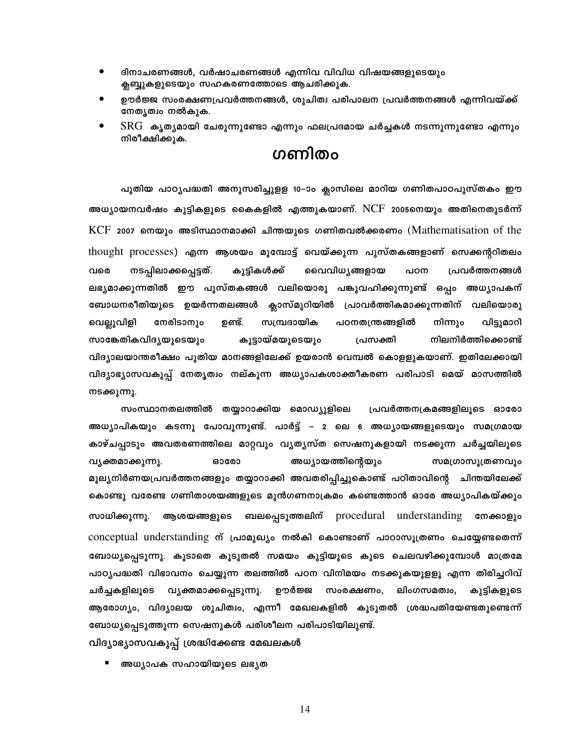- ദിനാചരണങ്ങൾ, വർഷാചരണങ്ങൾ എന്നിവ വിവിധ വിഷയങ്ങളുടെയും  $\bullet$ ക്ലബ്ബുകളുടെയും സഹകരണത്തോടെ ആചരിക്കുക.
- ഊർജ്ജ സംരക്ഷണപ്രവർത്തനങ്ങൾ. ശൂചിത്വ പരിപാലന പ്രവർത്തനങ്ങൾ എന്നിവയ്ക്ക്  $\bullet$ നേതൃത്വം നൽകുക.
- ${\rm SRG}$  കൃത്യമായി ചേരുന്നുണ്ടോ എന്നും ഫലപ്രദമായ ചർച്ചകൾ നടന്നുന്നുണ്ടോ എന്നും നിരീക്ഷിക്കുക.

## ഗണിതം

പുതിയ പാഠ്യപദ്ധതി അനുസരിച്ചുളള 10-ാം ക്ലാസിലെ മാറിയ ഗണിതപാഠപുസ്തകം ഈ അധ്യായനവർഷം കുട്ടികളുടെ കൈകളിൽ എത്തുകയാണ്. NCF 2005നെയും അതിനെതുടർന്ന്  $KCF$  2007 നെയും അടിസ്ഥാനമാക്കി ചിന്തയുടെ ഗണിതവൽക്കരണം (Mathematisation of the thought processes) എന്ന ആശയം മുമ്പോട്ട് വെയ്ക്കുന്ന പുസ്തകങ്ങളാണ് സെക്കന്ററിതലം വരെ നടപ്പിലാക്കപ്പെട്ടത്. കുട്ടികൾക്ക് വൈവിധ്യങ്ങളായ പ്രവർത്തനങ്ങൾ പഠന ലഭ്യമാക്കുന്നതിൽ ഈ പുസ്തകങ്ങൾ വലിയൊരു പങ്കുവഹിക്കുന്നുണ്ട് ഒപ്പം അധ്യാപകന് ബോധനരീതിയുടെ ഉയർന്നതലങ്ങൾ ക്ലാസ്മുറിയിൽ പ്രാവർത്തികമാക്കുന്നതിന് വലിയൊരു നേരിടാനും ഉണ്ട്. സമ്പ്രദായിക പഠനതന്ത്രങ്ങളിൽ വിട്ടുമാറി വെല്ലുവിളി നിന്നും സാങ്കേതികവിദൃയുടെയും കൂട്ടായ്മയുടെയും നിലനിർത്തിക്കൊണ്ട് പ്രസക്തി വിദ്യാലയാന്തരീക്ഷം പുതിയ മാനങ്ങളിലേക്ക് ഉയരാൻ വെമ്പൽ കൊള്ളുകയാണ്. ഇതിലേക്കായി വിദ്യാഭ്യാസവകുപ്പ് നേതൃത്വം നല്കുന്ന അധ്യാപകശാക്തീകരണ പരിപാടി മെയ് മാസത്തിൽ നടക്കുന്നു.

സംസ്ഥാനതലത്തിൽ തയ്യാറാക്കിയ മൊഡ്യുളിലെ പ്രവർത്തനക്രമങ്ങളിലൂടെ ഓരോ അധ്യാപികയും കടന്നു പോവുന്നുണ്ട്. പാർട്ട് – 2 ലെ 6 അധ്യായങ്ങളുടെയും സമഗ്രമായ കാഴ്ചപ്പാടും അവതരണത്തിലെ മാറ്റവും വ്യതൃസ്ത സെഷനുകളായി നടക്കുന്ന ചർച്ചയിലൂടെ വ്യക്തമാക്കുന്നു. ഓരോ അധ്യായത്തിന്റെയും സമഗ്രാസൂത്രണവും മൂല്യനിർണയപ്രവർത്തനങ്ങളും തയ്യാറാക്കി അവതരിപ്പിച്ചുകൊണ്ട് പഠിതാവിന്റെ ചിന്തയിലേക്ക് കൊണ്ടു വരേണ്ട ഗണിതാശയങ്ങളുടെ മുൻഗണനാക്രമം കണ്ടെത്താൻ ഓരേ അധ്യാപികയ്ക്കും ബലപ്പെടുത്തലിന് procedural understanding നേക്കാളും സാധിക്കുന്നു. ആശയങ്ങളുടെ conceptual understanding ന് പ്രാമുഖ്യം നൽകി കൊണ്ടാണ് പാഠാസുത്രണം ചെയ്യേണ്ടതെന്ന് ബോധ്യപ്പെടുന്നു. കൂടാതെ കൂടുതൽ സമയം കുട്ടിയുടെ കൂടെ ചെലവഴിക്കുമ്പോൾ മാത്രമേ പാഠ്യപദ്ധതി വിഭാവനം ചെയ്യുന്ന തലത്തിൽ പഠന വിനിമയം നടക്കുകയുളളൂ എന്ന തിരിച്ചറിവ് ചർച്ചകളിലൂടെ വൃക്തമാക്കപ്പെടുന്നു. ഊർജ്ജ സംരക്ഷണം, ലിംഗസമത്വം, കുട്ടികളുടെ ആരോഗ്യം, വിദ്യാലയ ശുചിത്വം, എന്നീ മേഖലകളിൽ കൂടുതൽ ശ്രദ്ധപതിയേണ്ടതുണ്ടെന്ന് ബോധ്യപ്പെടുത്തുന്ന സെഷനുകൾ പരിശീലന പരിപാടിയിലുണ്ട്.

വിദ്യാഭ്യാസവകുപ്പ് ശ്രദ്ധിക്കേണ്ട മേഖലകൾ

 $\blacksquare$ അധ്യാപക സഹായിയുടെ ലഭ്യത

14